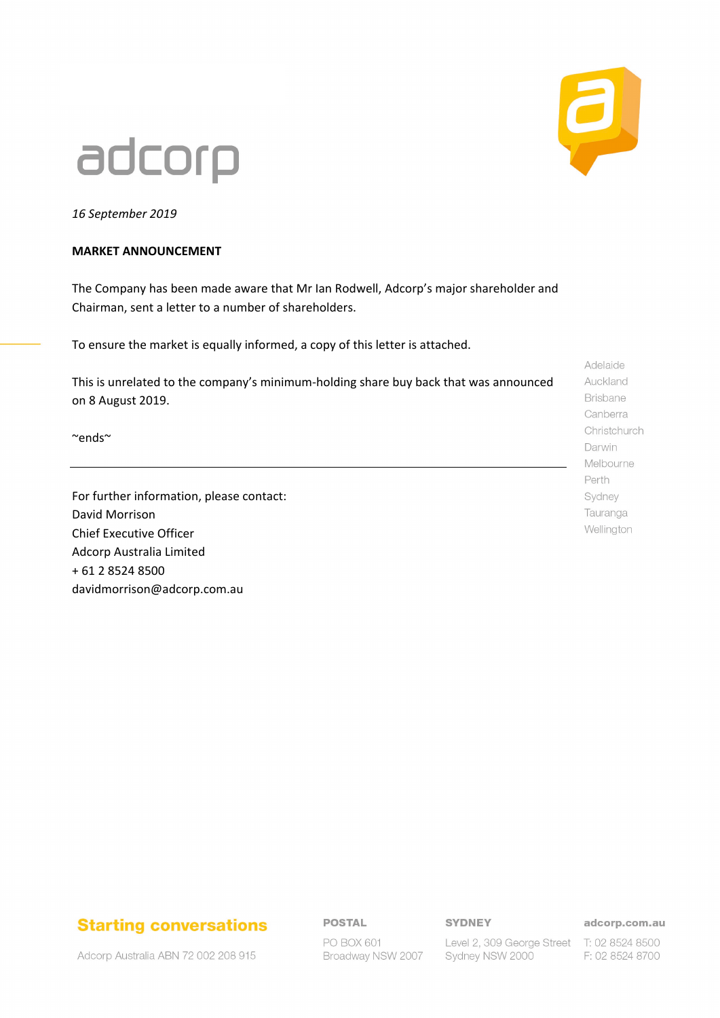# adcorp

*16 September 2019*

### **MARKET ANNOUNCEMENT**

The Company has been made aware that Mr Ian Rodwell, Adcorp's major shareholder and Chairman, sent a letter to a number of shareholders.

To ensure the market is equally informed, a copy of this letter is attached.

This is unrelated to the company's minimum-holding share buy back that was announced on 8 August 2019.

~ends~

For further information, please contact: David Morrison Chief Executive Officer Adcorp Australia Limited + 61 2 8524 8500 davidmorrison@adcorp.com.au

Adelaide Auckland Brisbane Canberra Christchurch Darwin Melbourne Perth Sydney Tauranga Wellington

## **Starting conversations**

**POSTAL** 

PO BOX 601 Broadway NSW 2007 **SYDNEY** 

Sydney NSW 2000

adcorp.com.au

Level 2, 309 George Street T: 02 8524 8500 F: 02 8524 8700

Adcorp Australia ABN 72 002 208 915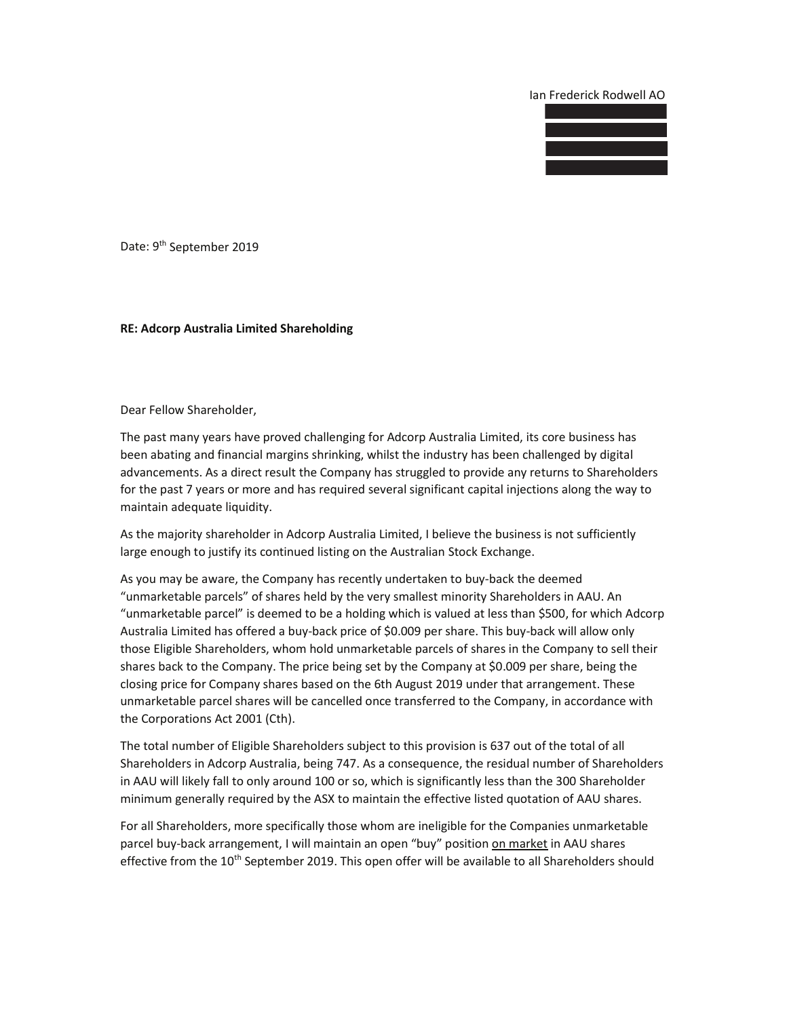Ian Frederick Rodwell AO



Date: 9<sup>th</sup> September 2019

#### RE: Adcorp Australia Limited Shareholding

Dear Fellow Shareholder,

The past many years have proved challenging for Adcorp Australia Limited, its core business has been abating and financial margins shrinking, whilst the industry has been challenged by digital advancements. As a direct result the Company has struggled to provide any returns to Shareholders for the past 7 years or more and has required several significant capital injections along the way to maintain adequate liquidity.

As the majority shareholder in Adcorp Australia Limited, I believe the business is not sufficiently large enough to justify its continued listing on the Australian Stock Exchange.

As you may be aware, the Company has recently undertaken to buy-back the deemed "unmarketable parcels" of shares held by the very smallest minority Shareholders in AAU. An "unmarketable parcel" is deemed to be a holding which is valued at less than \$500, for which Adcorp Australia Limited has offered a buy-back price of \$0.009 per share. This buy-back will allow only those Eligible Shareholders, whom hold unmarketable parcels of shares in the Company to sell their shares back to the Company. The price being set by the Company at \$0.009 per share, being the closing price for Company shares based on the 6th August 2019 under that arrangement. These unmarketable parcel shares will be cancelled once transferred to the Company, in accordance with the Corporations Act 2001 (Cth).

The total number of Eligible Shareholders subject to this provision is 637 out of the total of all Shareholders in Adcorp Australia, being 747. As a consequence, the residual number of Shareholders in AAU will likely fall to only around 100 or so, which is significantly less than the 300 Shareholder minimum generally required by the ASX to maintain the effective listed quotation of AAU shares.

For all Shareholders, more specifically those whom are ineligible for the Companies unmarketable parcel buy-back arrangement, I will maintain an open "buy" position on market in AAU shares effective from the 10<sup>th</sup> September 2019. This open offer will be available to all Shareholders should